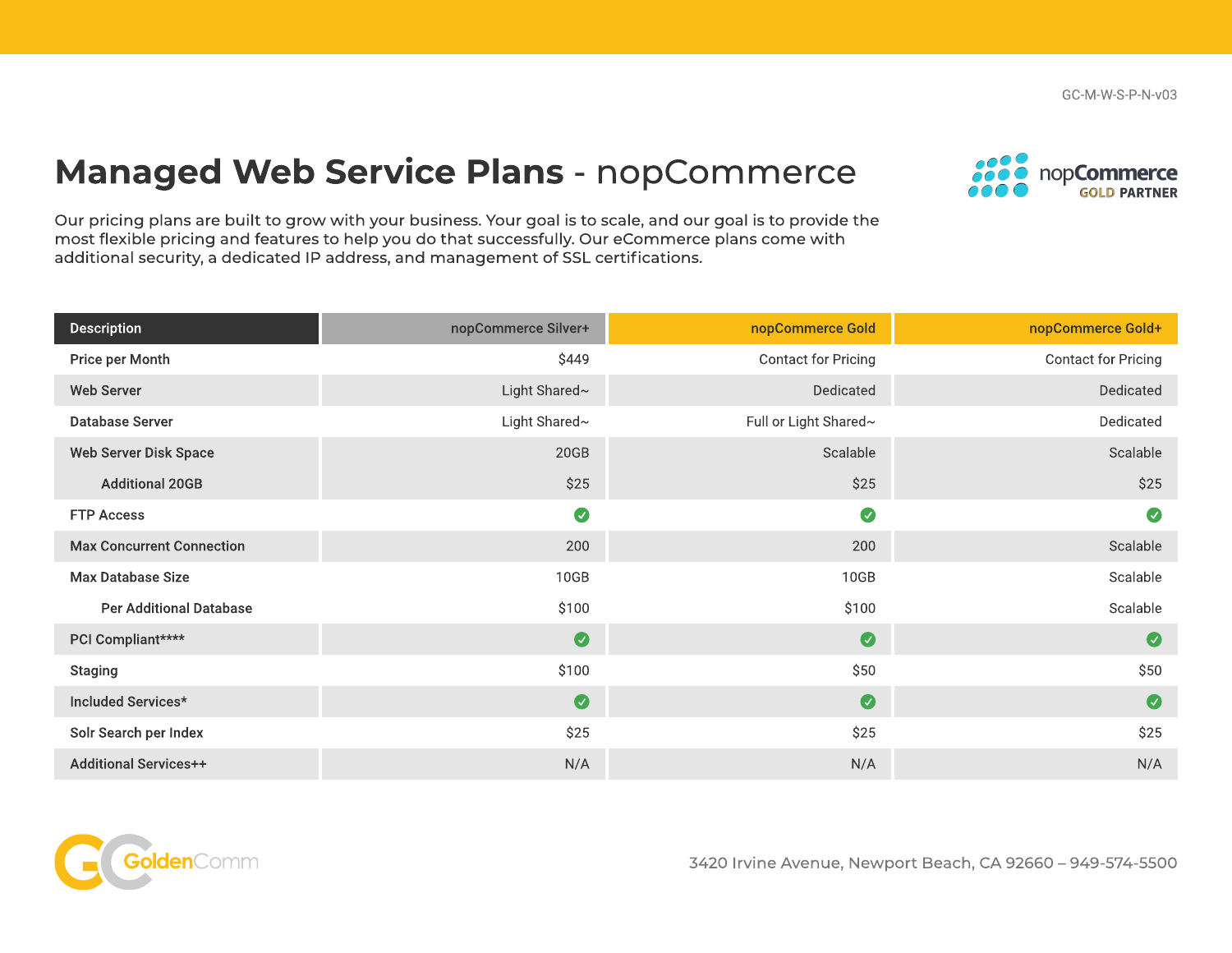GC-M-W-S-P-N-v03

## Managed Web Service Plans - nopCommerce



Our pricing plans are built to grow with your business. Your goal is to scale, and our goal is to provide the most flexible pricing and features to help you do that successfully. Our eCommerce plans come with additional security, a dedicated IP address, and management of SSL certifications.

| <b>Description</b>               | nopCommerce Silver+ | nopCommerce Gold      | nopCommerce Gold+   |
|----------------------------------|---------------------|-----------------------|---------------------|
| Price per Month                  | \$449               | Contact for Pricing   | Contact for Pricing |
| <b>Web Server</b>                | Light Shared~       | Dedicated             | Dedicated           |
| <b>Database Server</b>           | Light Shared~       | Full or Light Shared~ | Dedicated           |
| Web Server Disk Space            | 20GB                | Scalable              | Scalable            |
| <b>Additional 20GB</b>           | \$25                | \$25                  | \$25                |
| <b>FTP Access</b>                | $\bullet$           | $\bullet$             | $\bullet$           |
| <b>Max Concurrent Connection</b> | 200                 | 200                   | Scalable            |
| <b>Max Database Size</b>         | 10GB                | 10GB                  | Scalable            |
| <b>Per Additional Database</b>   | \$100               | \$100                 | Scalable            |
| PCI Compliant****                | $\bullet$           | $\bullet$             | $\bullet$           |
| <b>Staging</b>                   | \$100               | \$50                  | \$50                |
| Included Services*               | $\bullet$           | $\bullet$             | $\bullet$           |
| Solr Search per Index            | \$25                | \$25                  | \$25                |
| <b>Additional Services++</b>     | N/A                 | N/A                   | N/A                 |



3420 Irvine Avenue, Newport Beach, CA 92660 – 949-574-5500